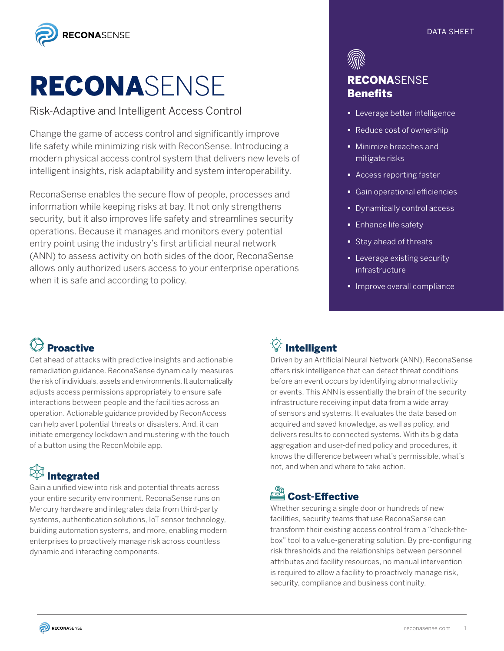

# RECONASENSE

Risk-Adaptive and Intelligent Access Control

Change the game of access control and significantly improve life safety while minimizing risk with ReconSense. Introducing a modern physical access control system that delivers new levels of intelligent insights, risk adaptability and system interoperability.

ReconaSense enables the secure flow of people, processes and information while keeping risks at bay. It not only strengthens security, but it also improves life safety and streamlines security operations. Because it manages and monitors every potential entry point using the industry's first artificial neural network (ANN) to assess activity on both sides of the door, ReconaSense allows only authorized users access to your enterprise operations when it is safe and according to policy.

### DATA SHEET



### RECONASENSE **Benefits**

- **Exercise** better intelligence
- Reduce cost of ownership
- § Minimize breaches and mitigate risks
- Access reporting faster
- § Gain operational efficiencies
- § Dynamically control access
- **Enhance life safety**
- Stay ahead of threats
- **E** Leverage existing security infrastructure
- **Improve overall compliance**

# $\Diamond$  Proactive

Get ahead of attacks with predictive insights and actionable remediation guidance. ReconaSense dynamically measures the risk of individuals, assets and environments. It automatically adjusts access permissions appropriately to ensure safe interactions between people and the facilities across an operation. Actionable guidance provided by ReconAccess can help avert potential threats or disasters. And, it can initiate emergency lockdown and mustering with the touch of a button using the ReconMobile app.

# Integrated

Gain a unified view into risk and potential threats across your entire security environment. ReconaSense runs on Mercury hardware and integrates data from third-party systems, authentication solutions, IoT sensor technology, building automation systems, and more, enabling modern enterprises to proactively manage risk across countless dynamic and interacting components.

# *W* Intelligent

Driven by an Artificial Neural Network (ANN), ReconaSense offers risk intelligence that can detect threat conditions before an event occurs by identifying abnormal activity or events. This ANN is essentially the brain of the security infrastructure receiving input data from a wide array of sensors and systems. It evaluates the data based on acquired and saved knowledge, as well as policy, and delivers results to connected systems. With its big data aggregation and user-defined policy and procedures, it knows the difference between what's permissible, what's not, and when and where to take action.

### Cost-Effective

Whether securing a single door or hundreds of new facilities, security teams that use ReconaSense can transform their existing access control from a "check-thebox" tool to a value-generating solution. By pre-configuring risk thresholds and the relationships between personnel attributes and facility resources, no manual intervention is required to allow a facility to proactively manage risk, security, compliance and business continuity.